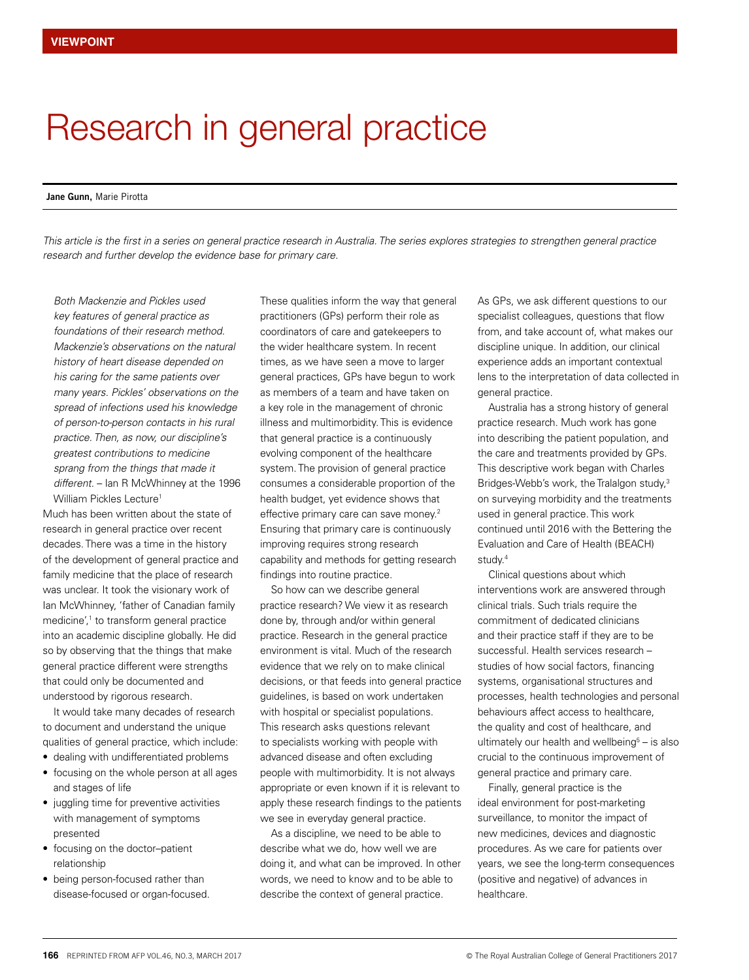## Research in general practice

## **Jane Gunn,** Marie Pirotta

*This article is the first in a series on general practice research in Australia. The series explores strategies to strengthen general practice research and further develop the evidence base for primary care.*

*Both Mackenzie and Pickles used key features of general practice as foundations of their research method. Mackenzie's observations on the natural history of heart disease depended on his caring for the same patients over many years. Pickles' observations on the spread of infections used his knowledge of person-to-person contacts in his rural practice. Then, as now, our discipline's greatest contributions to medicine sprang from the things that made it different.* – Ian R McWhinney at the 1996 William Pickles Lecture<sup>1</sup>

Much has been written about the state of research in general practice over recent decades. There was a time in the history of the development of general practice and family medicine that the place of research was unclear. It took the visionary work of Ian McWhinney, 'father of Canadian family medicine',<sup>1</sup> to transform general practice into an academic discipline globally. He did so by observing that the things that make general practice different were strengths that could only be documented and understood by rigorous research.

It would take many decades of research to document and understand the unique qualities of general practice, which include:

- dealing with undifferentiated problems
- focusing on the whole person at all ages and stages of life
- juggling time for preventive activities with management of symptoms presented
- focusing on the doctor–patient relationship
- being person-focused rather than disease-focused or organ-focused.

These qualities inform the way that general practitioners (GPs) perform their role as coordinators of care and gatekeepers to the wider healthcare system. In recent times, as we have seen a move to larger general practices, GPs have begun to work as members of a team and have taken on a key role in the management of chronic illness and multimorbidity. This is evidence that general practice is a continuously evolving component of the healthcare system. The provision of general practice consumes a considerable proportion of the health budget, yet evidence shows that effective primary care can save money.2 Ensuring that primary care is continuously improving requires strong research capability and methods for getting research findings into routine practice.

So how can we describe general practice research? We view it as research done by, through and/or within general practice. Research in the general practice environment is vital. Much of the research evidence that we rely on to make clinical decisions, or that feeds into general practice guidelines, is based on work undertaken with hospital or specialist populations. This research asks questions relevant to specialists working with people with advanced disease and often excluding people with multimorbidity. It is not always appropriate or even known if it is relevant to apply these research findings to the patients we see in everyday general practice.

As a discipline, we need to be able to describe what we do, how well we are doing it, and what can be improved. In other words, we need to know and to be able to describe the context of general practice.

As GPs, we ask different questions to our specialist colleagues, questions that flow from, and take account of, what makes our discipline unique. In addition, our clinical experience adds an important contextual lens to the interpretation of data collected in general practice.

Australia has a strong history of general practice research. Much work has gone into describing the patient population, and the care and treatments provided by GPs. This descriptive work began with Charles Bridges-Webb's work, the Tralalgon study,<sup>3</sup> on surveying morbidity and the treatments used in general practice. This work continued until 2016 with the Bettering the Evaluation and Care of Health (BEACH) study.<sup>4</sup>

Clinical questions about which interventions work are answered through clinical trials. Such trials require the commitment of dedicated clinicians and their practice staff if they are to be successful. Health services research – studies of how social factors, financing systems, organisational structures and processes, health technologies and personal behaviours affect access to healthcare, the quality and cost of healthcare, and ultimately our health and wellbeing $5 -$  is also crucial to the continuous improvement of general practice and primary care.

Finally, general practice is the ideal environment for post-marketing surveillance, to monitor the impact of new medicines, devices and diagnostic procedures. As we care for patients over years, we see the long-term consequences (positive and negative) of advances in healthcare.